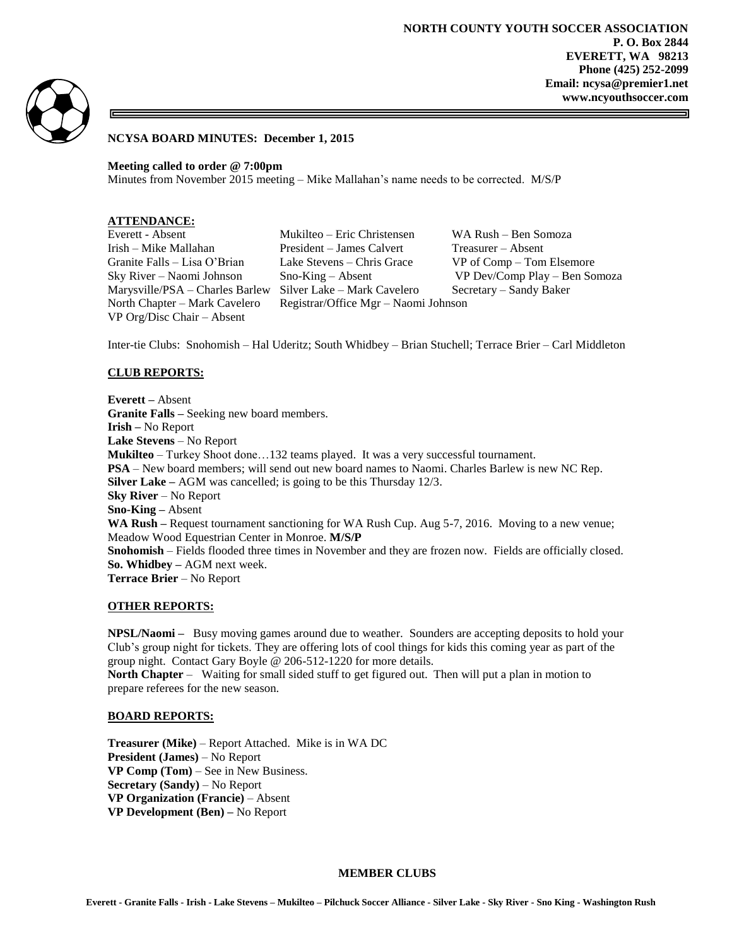

### **NCYSA BOARD MINUTES: December 1, 2015**

**Meeting called to order @ 7:00pm**

Minutes from November 2015 meeting – Mike Mallahan's name needs to be corrected. M/S/P

VP Org/Disc Chair – Absent

Everett - Absent Mukilteo – Eric Christensen WA Rush – Ben Somoza Irish – Mike Mallahan President – James Calvert Treasurer – Absent Granite Falls – Lisa O'Brian Lake Stevens – Chris Grace VP of Comp – Tom Elsemore Sky River – Naomi Johnson Sno-King – Absent VP Dev/Comp Play – Ben Somoza Marysville/PSA – Charles Barlew Silver Lake – Mark Cavelero Secretary – Sandy Baker North Chapter – Mark Cavelero Registrar/Office Mgr – Naomi Johnson

Inter-tie Clubs: Snohomish – Hal Uderitz; South Whidbey – Brian Stuchell; Terrace Brier – Carl Middleton

## **CLUB REPORTS:**

**Everett –** Absent **Granite Falls –** Seeking new board members. **Irish –** No Report **Lake Stevens** – No Report **Mukilteo** – Turkey Shoot done…132 teams played. It was a very successful tournament. **PSA** – New board members; will send out new board names to Naomi. Charles Barlew is new NC Rep. **Silver Lake –** AGM was cancelled; is going to be this Thursday 12/3. **Sky River** – No Report **Sno-King –** Absent **WA Rush –** Request tournament sanctioning for WA Rush Cup. Aug 5-7, 2016. Moving to a new venue; Meadow Wood Equestrian Center in Monroe. **M/S/P Snohomish** – Fields flooded three times in November and they are frozen now. Fields are officially closed. **So. Whidbey –** AGM next week. **Terrace Brier** – No Report

### **OTHER REPORTS:**

**NPSL/Naomi –** Busy moving games around due to weather. Sounders are accepting deposits to hold your Club's group night for tickets. They are offering lots of cool things for kids this coming year as part of the group night. Contact Gary Boyle @ 206-512-1220 for more details.

**North Chapter** – Waiting for small sided stuff to get figured out. Then will put a plan in motion to prepare referees for the new season.

### **BOARD REPORTS:**

**Treasurer (Mike)** – Report Attached. Mike is in WA DC **President (James)** – No Report **VP Comp (Tom)** – See in New Business. **Secretary (Sandy)** – No Report **VP Organization (Francie)** – Absent **VP Development (Ben) –** No Report

### **MEMBER CLUBS**